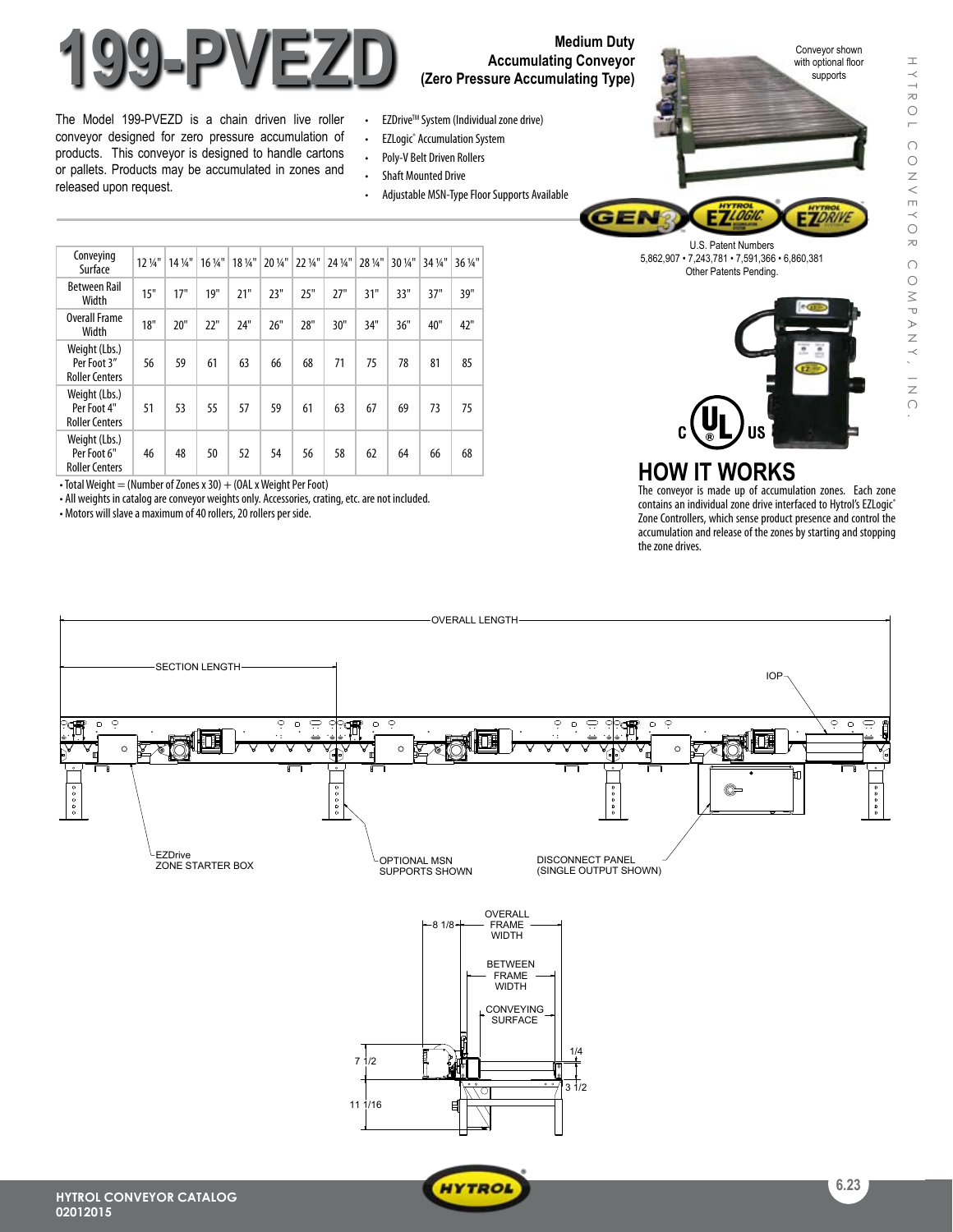

# **Accumulating Conveyor (Zero Pressure Accumulating Type)**

- The Model 199-PVEZD is a chain driven live roller conveyor designed for zero pressure accumulation of products. This conveyor is designed to handle cartons or pallets. Products may be accumulated in zones and released upon request.
- EZDrive<sup>™</sup> System (Individual zone drive)
- EZLogic<sup>®</sup> Accumulation System
- • Poly-V Belt Driven Rollers
- • Shaft Mounted Drive
- Adjustable MSN-Type Floor Supports Available



| Conveying<br>Surface                                  | $12\frac{1}{4}$ " | $14\frac{1}{4}$ | $16\,\frac{1}{4}$ " | 18 1/4" | 20 1/4" | 22 1/4" | 24 1/4" | 28 1/4" | 30 1/4" | 34 1/4" | 36 1/4" |
|-------------------------------------------------------|-------------------|-----------------|---------------------|---------|---------|---------|---------|---------|---------|---------|---------|
| <b>Between Rail</b><br>Width                          | 15"               | 17"             | 19"                 | 21"     | 23"     | 25"     | 27"     | 31"     | 33"     | 37"     | 39"     |
| <b>Overall Frame</b><br>Width                         | 18"               | 20"             | 22"                 | 74"     | 26"     | 28"     | 30"     | 34"     | 36"     | 40"     | 42"     |
| Weight (Lbs.)<br>Per Foot 3"<br><b>Roller Centers</b> | 56                | 59              | 61                  | 63      | 66      | 68      | 71      | 75      | 78      | 81      | 85      |
| Weight (Lbs.)<br>Per Foot 4"<br><b>Roller Centers</b> | 51                | 53              | 55                  | 57      | 59      | 61      | 63      | 67      | 69      | 73      | 75      |
| Weight (Lbs.)<br>Per Foot 6"<br><b>Roller Centers</b> | 46                | 48              | 50                  | 52      | 54      | 56      | 58      | 62      | 64      | 66      | 68      |

• Total Weight  $=$  (Number of Zones x 30)  $+$  (OAL x Weight Per Foot)

• All weights in catalog are conveyor weights only. Accessories, crating, etc. are not included.

• Motors will slave a maximum of 40 rollers, 20 rollers per side.





### **HOW IT WORKS**

The conveyor is made up of accumulation zones. Each zone contains an individual zone drive interfaced to Hytrol's EZLogic® Zone Controllers, which sense product presence and control the accumulation and release of the zones by starting and stopping the zone drives.